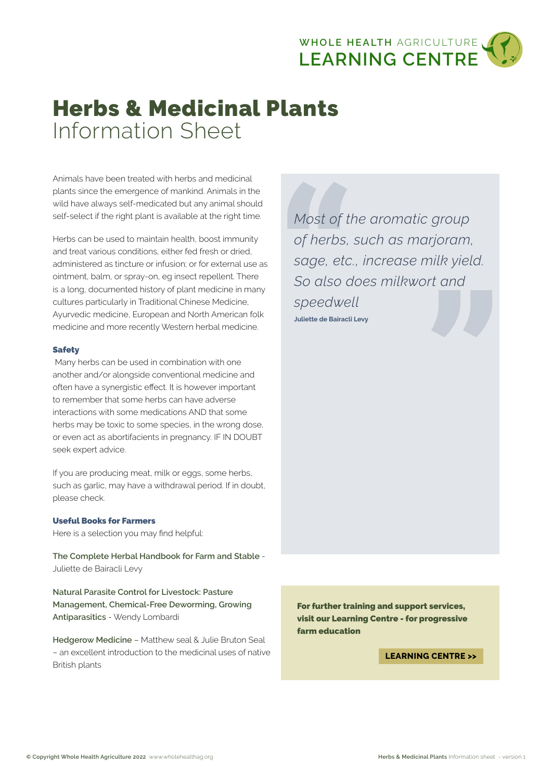

# Herbs & Medicinal Plants Information Sheet

Animals have been treated with herbs and medicinal plants since the emergence of mankind. Animals in the wild have always self-medicated but any animal should self-select if the right plant is available at the right time.

Herbs can be used to maintain health, boost immunity and treat various conditions, either fed fresh or dried, administered as tincture or infusion; or for external use as ointment, balm, or spray-on, eg insect repellent. There is a long, documented history of plant medicine in many cultures particularly in Traditional Chinese Medicine, Ayurvedic medicine, European and North American folk medicine and more recently Western herbal medicine.

#### Safety

 Many herbs can be used in combination with one another and/or alongside conventional medicine and often have a synergistic effect. It is however important to remember that some herbs can have adverse interactions with some medications AND that some herbs may be toxic to some species, in the wrong dose, or even act as abortifacients in pregnancy. IF IN DOUBT seek expert advice.

If you are producing meat, milk or eggs, some herbs, such as garlic, may have a withdrawal period. If in doubt, please check.

## Useful Books for Farmers

Here is a selection you may find helpful:

**The Complete Herbal Handbook for Farm and Stable** - Juliette de Bairacli Levy

**Natural Parasite Control for Livestock: Pasture Management, Chemical-Free Deworming, Growing Antiparasitics** - Wendy Lombardi

**Hedgerow Medicine** – Matthew seal & Julie Bruton Seal – an excellent introduction to the medicinal uses of native British plants

*Most of the aromatic group of herbs, such as marjoram, sage, etc., increase milk yield. So also does milkwort and speedwell* **Juliette de Bairacli Levy**

For further training and support services, visit our Learning Centre - for progressive farm education

**LEARNING CENTRE >>**